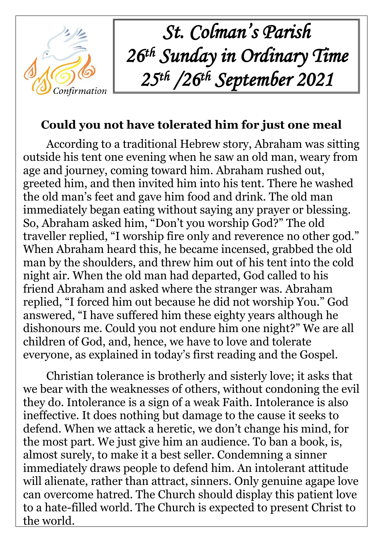

*St. Colman's Parish 26 th Sunday in Ordinary Time 25th /26th September 2021*

## **Could you not have tolerated him for just one meal**

According to a traditional Hebrew story, Abraham was sitting outside his tent one evening when he saw an old man, weary from age and journey, coming toward him. Abraham rushed out, greeted him, and then invited him into his tent. There he washed the old man's feet and gave him food and drink. The old man immediately began eating without saying any prayer or blessing. So, Abraham asked him, "Don't you worship God?" The old traveller replied, "I worship fire only and reverence no other god." When Abraham heard this, he became incensed, grabbed the old man by the shoulders, and threw him out of his tent into the cold night air. When the old man had departed, God called to his friend Abraham and asked where the stranger was. Abraham replied, "I forced him out because he did not worship You." God answered, "I have suffered him these eighty years although he dishonours me. Could you not endure him one night?" We are all children of God, and, hence, we have to love and tolerate everyone, as explained in today's first reading and the Gospel.

Christian tolerance is brotherly and sisterly love; it asks that we bear with the weaknesses of others, without condoning the evil they do. Intolerance is a sign of a weak Faith. Intolerance is also ineffective. It does nothing but damage to the cause it seeks to defend. When we attack a heretic, we don't change his mind, for the most part. We just give him an audience. To ban a book, is, almost surely, to make it a best seller. Condemning a sinner immediately draws people to defend him. An intolerant attitude will alienate, rather than attract, sinners. Only genuine agape love can overcome hatred. The Church should display this patient love to a hate-filled world. The Church is expected to present Christ to the world.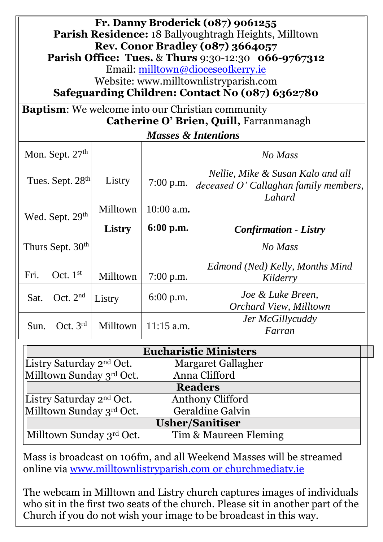| Fr. Danny Broderick (087) 9061255<br>Parish Residence: 18 Ballyoughtragh Heights, Milltown<br><b>Rev. Conor Bradley (087) 3664057</b><br><b>Parish Office: Tues. &amp; Thurs 9:30-12:30 066-9767312</b><br>Email: milltown@dioceseofkerry.ie |                              |                    |                           |                                                                                      |  |  |  |  |
|----------------------------------------------------------------------------------------------------------------------------------------------------------------------------------------------------------------------------------------------|------------------------------|--------------------|---------------------------|--------------------------------------------------------------------------------------|--|--|--|--|
| Website: www.milltownlistryparish.com<br>Safeguarding Children: Contact No (087) 6362780                                                                                                                                                     |                              |                    |                           |                                                                                      |  |  |  |  |
| <b>Baptism:</b> We welcome into our Christian community<br>Catherine O' Brien, Quill, Farranmanagh                                                                                                                                           |                              |                    |                           |                                                                                      |  |  |  |  |
| <b>Masses &amp; Intentions</b>                                                                                                                                                                                                               |                              |                    |                           |                                                                                      |  |  |  |  |
|                                                                                                                                                                                                                                              | Mon. Sept. $27th$            |                    |                           | No Mass                                                                              |  |  |  |  |
|                                                                                                                                                                                                                                              | Tues. Sept. 28 <sup>th</sup> | Listry             | $7:00$ p.m.               | Nellie, Mike & Susan Kalo and all<br>deceased O' Callaghan family members,<br>Lahard |  |  |  |  |
| Wed. Sept. 29th                                                                                                                                                                                                                              |                              | Milltown<br>Listry | $10:00$ a.m.<br>6:00 p.m. | <b>Confirmation - Listry</b>                                                         |  |  |  |  |
| Thurs Sept. 30 <sup>th</sup>                                                                                                                                                                                                                 |                              |                    |                           | No Mass                                                                              |  |  |  |  |
| Fri.                                                                                                                                                                                                                                         | Oct. $1st$                   | Milltown           | $7:00$ p.m.               | Edmond (Ned) Kelly, Months Mind<br>Kilderry                                          |  |  |  |  |
| Sat.                                                                                                                                                                                                                                         | Oct. $2nd$                   | Listry             | $6:00$ p.m.               | Joe & Luke Breen,<br><b>Orchard View, Milltown</b>                                   |  |  |  |  |
| Sun.                                                                                                                                                                                                                                         | Oct. $3rd$                   | Milltown           | $11:15$ a.m.              | Jer McGillycuddy<br>Farran                                                           |  |  |  |  |

| <b>Eucharistic Ministers</b>         |                       |  |  |  |  |
|--------------------------------------|-----------------------|--|--|--|--|
| Listry Saturday 2 <sup>nd</sup> Oct. | Margaret Gallagher    |  |  |  |  |
| Milltown Sunday 3rd Oct.             | Anna Clifford         |  |  |  |  |
| <b>Readers</b>                       |                       |  |  |  |  |
| Listry Saturday 2 <sup>nd</sup> Oct. | Anthony Clifford      |  |  |  |  |
| Milltown Sunday 3rd Oct.             | Geraldine Galvin      |  |  |  |  |
| <b>Usher/Sanitiser</b>               |                       |  |  |  |  |
| Milltown Sunday 3rd Oct.             | Tim & Maureen Fleming |  |  |  |  |

Mass is broadcast on 106fm, and all Weekend Masses will be streamed online via [www.milltownlistryparish.com](http://www.milltownlistryparish.com/) or churchmediatv.ie

The webcam in Milltown and Listry church captures images of individuals who sit in the first two seats of the church. Please sit in another part of the Church if you do not wish your image to be broadcast in this way.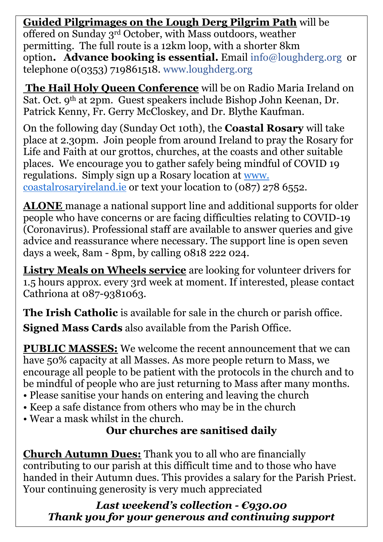**Guided Pilgrimages on the Lough Derg Pilgrim Path** will be

offered on Sunday 3rd October, with Mass outdoors, weather permitting. The full route is a 12km loop, with a shorter 8km option**. Advance booking is essential.** Email [info@loughderg.org](mailto:info@loughderg.org) or telephone 0(0353) 719861518. [www.loughderg.org](http://www.loughderg.org/)

**The Hail Holy Queen Conference** will be on Radio Maria Ireland on Sat. Oct. 9th at 2pm. Guest speakers include Bishop John Keenan, Dr. Patrick Kenny, Fr. Gerry McCloskey, and Dr. Blythe Kaufman.

On the following day (Sunday Oct 10th), the **Coastal Rosary** will take place at 2.30pm. Join people from around Ireland to pray the Rosary for Life and Faith at our grottos, churches, at the coasts and other suitable places. We encourage you to gather safely being mindful of COVID 19 regulations. Simply sign up a Rosary location at [www.](http://www.coastalrosaryireland.ie/)  [coastalrosaryireland.ie](http://www.coastalrosaryireland.ie/) or text your location to (087) 278 6552.

**ALONE** manage a national support line and additional supports for older people who have concerns or are facing difficulties relating to COVID-19 (Coronavirus). Professional staff are available to answer queries and give advice and reassurance where necessary. The support line is open seven days a week, 8am - 8pm, by calling 0818 222 024.

**Listry Meals on Wheels service** are looking for volunteer drivers for 1.5 hours approx. every 3rd week at moment. If interested, please contact Cathriona at 087-9381063.

**The Irish Catholic** is available for sale in the church or parish office.

**Signed Mass Cards** also available from the Parish Office.

**PUBLIC MASSES:** We welcome the recent announcement that we can have 50% capacity at all Masses. As more people return to Mass, we encourage all people to be patient with the protocols in the church and to be mindful of people who are just returning to Mass after many months.

- Please sanitise your hands on entering and leaving the church
- Keep a safe distance from others who may be in the church
- Wear a mask whilst in the church.

#### **Our churches are sanitised daily**

**Church Autumn Dues:** Thank you to all who are financially contributing to our parish at this difficult time and to those who have handed in their Autumn dues. This provides a salary for the Parish Priest. Your continuing generosity is very much appreciated

*Last weekend's collection - €930.00 Thank you for your generous and continuing support*